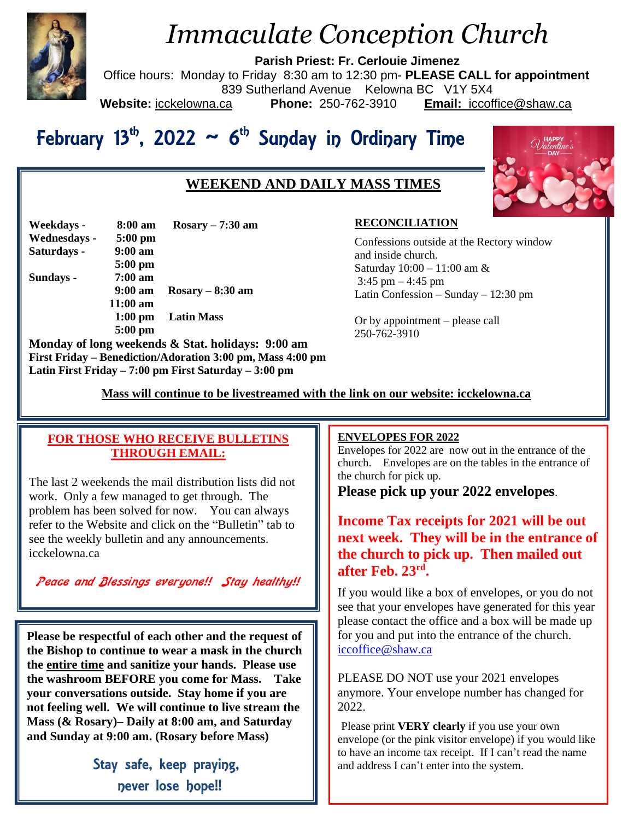

# *Immaculate Conception Church*

**Parish Priest: Fr. Cerlouie Jimenez**

Office hours: Monday to Friday 8:30 am to 12:30 pm- **PLEASE CALL for appointment** 839 Sutherland Avenue Kelowna BC V1Y 5X4<br>ca **Phone:** 250-762-3910 **Email:** iccoft **Website:** icckelowna.ca **Phone:** 250-762-3910 **Email:** iccoffice@shaw.ca

# February 13<sup>th</sup>, 2022 ~ 6<sup>th</sup> Sunday in Ordinary Time

# **WEEKEND AND DAILY MASS TIMES**



| Weekdays -   | $8:00 \text{ am}$ | $Rosary - 7:30$ am       |
|--------------|-------------------|--------------------------|
| Wednesdays - | $5:00$ pm         |                          |
| Saturdays -  | $9:00$ am         |                          |
|              | $5:00$ pm         |                          |
| Sundays -    | $7:00$ am         |                          |
|              | $9:00 \text{ am}$ | $Rosary - 8:30$ am       |
|              | $11:00$ am        |                          |
|              |                   | 1:00 pm Latin Mass       |
|              | $5:00$ pm         |                          |
|              |                   | M.I. PL. I. D.O. 1. P.I. |

**Monday of long weekends & Stat. holidays: 9:00 am First Friday – Benediction/Adoration 3:00 pm, Mass 4:00 pm Latin First Friday – 7:00 pm First Saturday – 3:00 pm** 

#### **RECONCILIATION**

Confessions outside at the Rectory window and inside church. Saturday 10:00 – 11:00 am &  $3:45$  pm  $-4:45$  pm Latin Confession – Sunday – 12:30 pm

Or by appointment – please call 250-762-3910

 **Mass will continue to be livestreamed with the link on our website: icckelowna.ca**

### **FOR THOSE WHO RECEIVE BULLETINS THROUGH EMAIL:**

The last 2 weekends the mail distribution lists did not work. Only a few managed to get through. The problem has been solved for now. You can always refer to the Website and click on the "Bulletin" tab to see the weekly bulletin and any announcements. icckelowna.ca

*Peace and Blessings everyone!! Stay healthy!!*

**Please be respectful of each other and the request of the Bishop to continue to wear a mask in the church the entire time and sanitize your hands. Please use the washroom BEFORE you come for Mass. Take your conversations outside. Stay home if you are not feeling well. We will continue to live stream the Mass (& Rosary)– Daily at 8:00 am, and Saturday and Sunday at 9:00 am. (Rosary before Mass)**

> Stay safe, keep praying, never lose hope!!

#### j **ENVELOPES FOR 2022**

Envelopes for 2022 are now out in the entrance of the church. Envelopes are on the tables in the entrance of the church for pick up.

**Please pick up your 2022 envelopes**.

**Income Tax receipts for 2021 will be out next week. They will be in the entrance of the church to pick up. Then mailed out after Feb. 23rd .** 

If you would like a box of envelopes, or you do not see that your envelopes have generated for this year please contact the office and a box will be made up for you and put into the entrance of the church. [iccoffice@shaw.ca](mailto:iccoffice@shaw.ca)

PLEASE DO NOT use your 2021 envelopes anymore. Your envelope number has changed for 2022.

Please print **VERY clearly** if you use your own envelope (or the pink visitor envelope) if you would like to have an income tax receipt. If I can't read the name and address I can't enter into the system.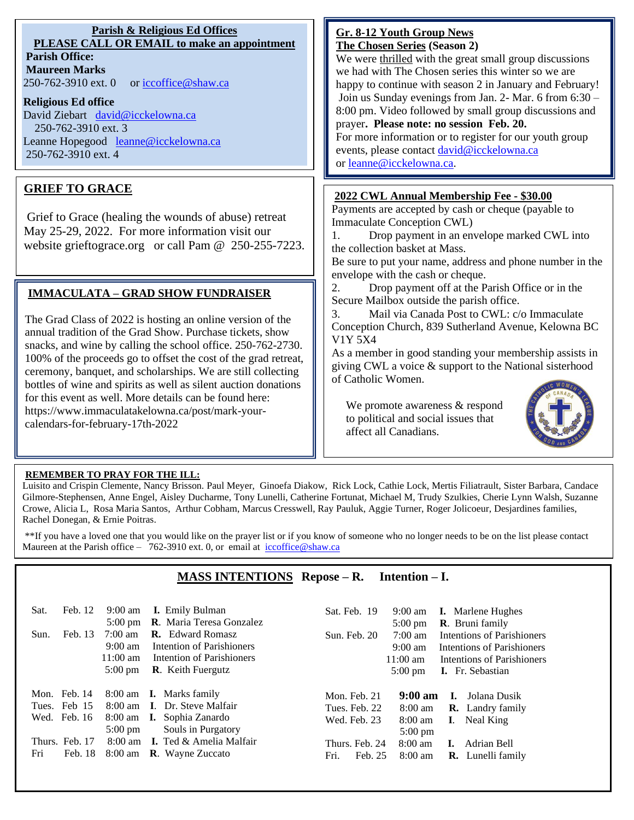#### **Parish & Religious Ed Offices PLEASE CALL OR EMAIL to make an appointment Parish Office:**

**Maureen Marks**  250-762-3910 ext. 0 or [iccoffice@shaw.ca](mailto:iccoffice@shaw.ca)

#### **Religious Ed office**

David Ziebart david@icckelowna.ca 250-762-3910 ext. 3 Leanne Hopegood [leanne@icckelowna.ca](mailto:leanne@icckelowna.ca) 250-762-3910 ext. 4

## **GRIEF TO GRACE**

Grief to Grace (healing the wounds of abuse) retreat May 25-29, 2022. For more information visit our website grieftograce.org or call Pam @ 250-255-7223.

### **IMMACULATA – GRAD SHOW FUNDRAISER**

The Grad Class of 2022 is hosting an online version of the annual tradition of the Grad Show. Purchase tickets, show snacks, and wine by calling the school office. 250-762-2730. 100% of the proceeds go to offset the cost of the grad retreat, ceremony, banquet, and scholarships. We are still collecting bottles of wine and spirits as well as silent auction donations for this event as well. More details can be found here: https://www.immaculatakelowna.ca/post/mark-yourcalendars-for-february-17th-2022

#### **Gr. 8-12 Youth Group News The Chosen Series (Season 2)**

We were thrilled with the great small group discussions we had with The Chosen series this winter so we are happy to continue with season 2 in January and February! Join us Sunday evenings from Jan. 2- Mar. 6 from 6:30 – 8:00 pm. Video followed by small group discussions and prayer**. Please note: no session Feb. 20.**

For more information or to register for our youth group events, please contact [david@icckelowna.ca](mailto:david@icckelowna.ca) or [leanne@icckelowna.ca.](mailto:leanne@icckelowna.ca)

#### **2022 CWL Annual Membership Fee - \$30.00**

Payments are accepted by cash or cheque (payable to Immaculate Conception CWL)

1. Drop payment in an envelope marked CWL into the collection basket at Mass.

Be sure to put your name, address and phone number in the envelope with the cash or cheque.

2. Drop payment off at the Parish Office or in the Secure Mailbox outside the parish office.

3. Mail via Canada Post to CWL: c/o Immaculate Conception Church, 839 Sutherland Avenue, Kelowna BC V1Y 5X4

As a member in good standing your membership assists in giving CWL a voice & support to the National sisterhood of Catholic Women.

 We promote awareness & respond to political and social issues that affect all Canadians.



#### **REMEMBER TO PRAY FOR THE ILL:**

Ξ

 $\overline{a}$ 

Luisito and Crispin Clemente, Nancy Brisson. Paul Meyer, Ginoefa Diakow, Rick Lock, Cathie Lock, Mertis Filiatrault, Sister Barbara, Candace Gilmore-Stephensen, Anne Engel, Aisley Ducharme, Tony Lunelli, Catherine Fortunat, Michael M, Trudy Szulkies, Cherie Lynn Walsh, Suzanne Crowe, Alicia L, Rosa Maria Santos, Arthur Cobham, Marcus Cresswell, Ray Pauluk, Aggie Turner, Roger Jolicoeur, Desjardines families, Rachel Donegan, & Ernie Poitras.

\*\*If you have a loved one that you would like on the prayer list or if you know of someone who no longer needs to be on the list please contact Maureen at the Parish office – 762-3910 ext. 0, or email at iccoffice@shaw.ca

#### **MASS INTENTIONS Repose – R. Intention – I.**

| Feb. 12<br>Sat. | <b>I.</b> Emily Bulman<br>$9:00$ am<br>R. Maria Teresa Gonzalez<br>$5:00 \text{ pm}$ | Sat. Feb. 19<br><b>I.</b> Marlene Hughes<br>$9:00 \text{ am}$<br><b>R.</b> Bruni family<br>$5:00 \text{ pm}$ |
|-----------------|--------------------------------------------------------------------------------------|--------------------------------------------------------------------------------------------------------------|
| Feb. 13<br>Sun. | <b>R.</b> Edward Romasz<br>$7:00 \text{ am}$                                         | Intentions of Parishioners<br>Sun. Feb. 20<br>$7:00 \text{ am}$                                              |
|                 | Intention of Parishioners<br>$9:00 \text{ am}$                                       | $9:00 \text{ am}$<br>Intentions of Parishioners                                                              |
|                 | $11:00$ am<br>Intention of Parishioners                                              | $11:00 \text{ am}$<br>Intentions of Parishioners                                                             |
|                 | <b>R.</b> Keith Fuergutz<br>$5:00 \text{ pm}$                                        | $5:00 \text{ pm}$<br><b>I.</b> Fr. Sebastian                                                                 |
|                 |                                                                                      |                                                                                                              |
| Mon. Feb. 14    | <b>I.</b> Marks family<br>8:00 am                                                    | $9:00 \text{ am}$<br>Mon. Feb. 21<br>- Jolana Dusik<br>L.                                                    |
| Tues. Feb 15    | <b>I.</b> Dr. Steve Malfair<br>$8:00 \text{ am}$                                     | $8:00 \text{ am}$<br>Tues. Feb. 22<br><b>R.</b> Landry family                                                |
| Wed. Feb. 16    | <b>I.</b> Sophia Zanardo<br>8:00 am                                                  | Wed. Feb. 23<br>Neal King<br>$8:00 \text{ am}$<br>$\mathbf{I}$ .                                             |
|                 | Souls in Purgatory<br>$5:00 \text{ pm}$                                              | $5:00 \text{ pm}$                                                                                            |
| Thurs. Feb. 17  | 8:00 am I. Ted & Amelia Malfair                                                      | $8:00 \text{ am}$<br>Thurs. Feb. 24<br>Adrian Bell<br>L.                                                     |
| Fri<br>Feb. 18  | <b>R.</b> Wayne Zuccato<br>8:00 am                                                   | Fri.<br>$8:00$ am<br>Feb. 25<br><b>R.</b> Lunelli family                                                     |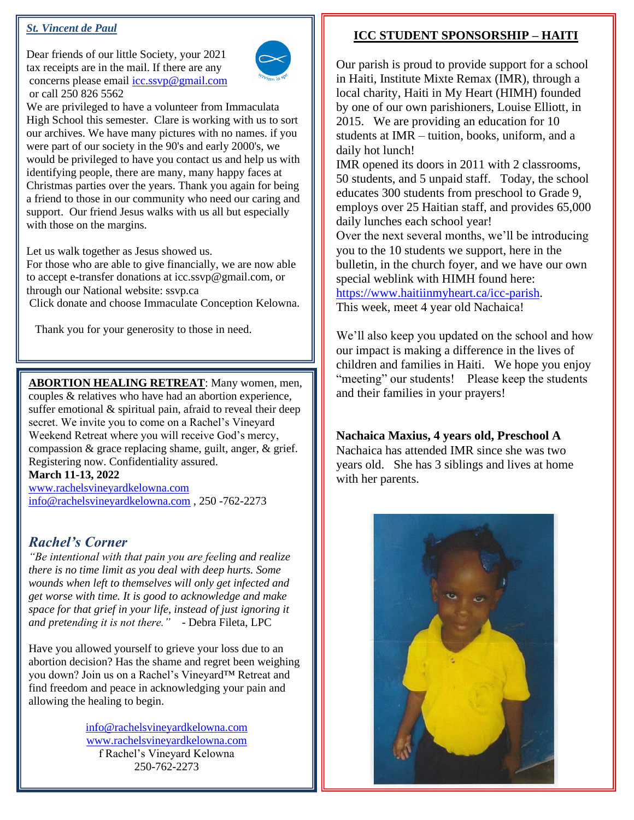#### *St. Vincent de Paul*

Dear friends of our little Society, your 2021 tax receipts are in the mail. If there are any concerns please email [icc.ssvp@gmail.com](mailto:icc.ssvp@gmail.com) or call 250 826 5562



We are privileged to have a volunteer from Immaculata High School this semester. Clare is working with us to sort our archives. We have many pictures with no names. if you were part of our society in the 90's and early 2000's, we would be privileged to have you contact us and help us with identifying people, there are many, many happy faces at Christmas parties over the years. Thank you again for being a friend to those in our community who need our caring and support. Our friend Jesus walks with us all but especially with those on the margins.

Let us walk together as Jesus showed us.

For those who are able to give financially, we are now able to accept e-transfer donations at icc.ssvp@gmail.com, or through our National website: ssvp.ca

Click donate and choose Immaculate Conception Kelowna.

Thank you for your generosity to those in need.

**ABORTION HEALING RETREAT**: Many women, men,

couples & relatives who have had an abortion experience, suffer emotional & spiritual pain, afraid to reveal their deep secret. We invite you to come on a Rachel's Vineyard Weekend Retreat where you will receive God's mercy, compassion & grace replacing shame, guilt, anger, & grief. Registering now. Confidentiality assured.

#### **March 11-13, 2022**

[www.rachelsvineyardkelowna.com](http://www.rachelsvineyardkelowna.com/) [info@rachelsvineyardkelowna.com](mailto:info@rachelsvineyardkelowna.com) , 250 -762-2273

# *Rachel's Corner*

*"Be intentional with that pain you are feeling and realize there is no time limit as you deal with deep hurts. Some wounds when left to themselves will only get infected and get worse with time. It is good to acknowledge and make space for that grief in your life, instead of just ignoring it and pretending it is not there."* - Debra Fileta, LPC

Have you allowed yourself to grieve your loss due to an abortion decision? Has the shame and regret been weighing you down? Join us on a Rachel's Vineyard™ Retreat and find freedom and peace in acknowledging your pain and allowing the healing to begin.

> [info@rachelsvineyardkelowna.com](mailto:info@rachelsvineyardkelowna.com) [www.rachelsvineyardkelowna.com](http://www.rachelsvineyardkelowna.com/) f Rachel's Vineyard Kelowna 250-762-2273

# **Kamloops, BC V2B 3H5 ICC STUDENT SPONSORSHIP – HAITI**

Our parish is proud to provide support for a school in Haiti, Institute Mixte Remax (IMR), through a<br>local charity, Haiti in My Heart (HIMH) founded by one of our own parishioners, Louise Elliott, in zoris. We are providing an education for To<br>students at IMR – tuition, books, uniform, and a local charity, Haiti in My Heart (HIMH) founded 2015. We are providing an education for 10 daily hot lunch!

daily hot lunch!<br>IMR opened its doors in 2011 with 2 classrooms, 50 students, and 5 unpaid staff. Today, the school<br>educates 300 students from preschool to Grade 9 **employs over 25 Haitian staff, and provides 65,000** educates 300 students from preschool to Grade 9, daily lunches each school year!

tuatry functies each send year.<br>Over the next several months, we'll be introducing you to the 10 students we support, here in the bulletin, in the church foyer, and we have our own **IMP** special weblink with HIMH found here:<br>https://www.haitiinmy.heart.ca/icc-parish you to the 10 students we support, here in the [https://www.haitiinmyheart.ca/icc-parish.](https://www.haitiinmyheart.ca/icc-parish)

This week, meet 4 year old Nachaica!

We'll also keep you updated on the school and how our impact is making a difference in the lives of children and families in Haiti. We hope you enjoy "meeting" our students! Please keep the students<br>and their families in your prayers! **from preschool to Grade**  our impact is making a difference in the lives of and their families in your prayers!

**9, employs over 25 Haitian Nachaica Maxius, 4 years old, Preschool A** Nachaica has attended IMR since she was two<br>years old. She has 3 siblings and lives at home with her parents. Nachaica has attended IMR since she was two



 $\overline{a}$